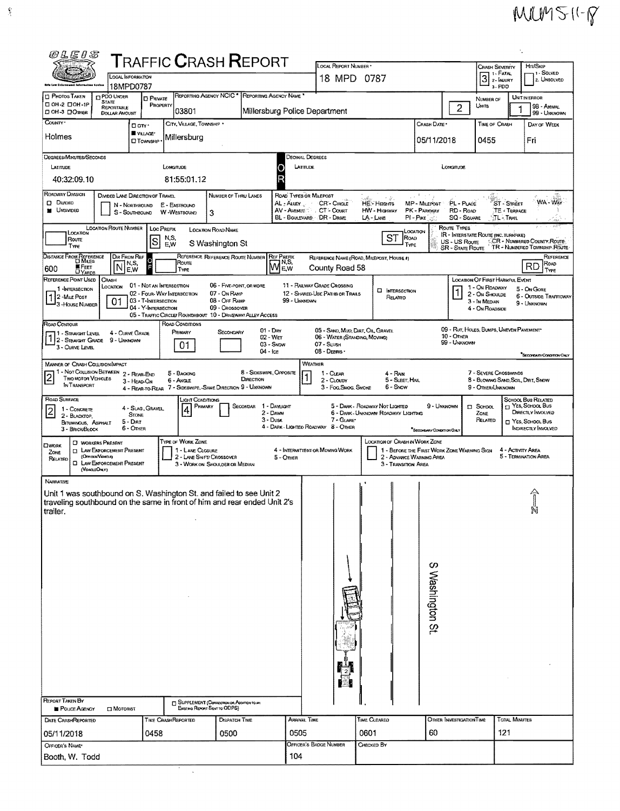## $MUM511 - P$

| WLEUS                                                                                                                                                                                                                      |                                                                      |                                                                        | <b>TRAFFIC CRASH REPORT</b>                                                                          |                                                                             |                                       |                                                                                         | LOCAL REPORT NUMBER                                                              |                                                                                  |                                                                         |                                                         |                                                                                       |                                  | HIT/SKIP                                                                                                      |  |
|----------------------------------------------------------------------------------------------------------------------------------------------------------------------------------------------------------------------------|----------------------------------------------------------------------|------------------------------------------------------------------------|------------------------------------------------------------------------------------------------------|-----------------------------------------------------------------------------|---------------------------------------|-----------------------------------------------------------------------------------------|----------------------------------------------------------------------------------|----------------------------------------------------------------------------------|-------------------------------------------------------------------------|---------------------------------------------------------|---------------------------------------------------------------------------------------|----------------------------------|---------------------------------------------------------------------------------------------------------------|--|
| Kthe Low Enforcement Intermetion Goutan                                                                                                                                                                                    | <b>LOCAL INFORMATION</b>                                             |                                                                        |                                                                                                      |                                                                             | 18 MPD 0787                           |                                                                                         |                                                                                  |                                                                                  |                                                                         |                                                         | <b>CRASH SEVERITY</b><br>1 - SOLVED<br>3 <sup>1. FATAI</sup><br>2. UNSOLVED<br>3- PDO |                                  |                                                                                                               |  |
| <b>C</b> PHOTOS TAKEN                                                                                                                                                                                                      | 18MPD0787<br><b>D</b> PDO UNDER                                      | <b>D</b> PRIVATE                                                       | REPORTING AGENCY NCIC * REPORTING AGENCY NAME                                                        |                                                                             |                                       |                                                                                         |                                                                                  |                                                                                  |                                                                         |                                                         | NUMBER OF                                                                             |                                  | UNIT IN ERROR                                                                                                 |  |
| C OH 2 COH-1P<br>ДОН-3 ДОЛКЕВ                                                                                                                                                                                              | <b>STATE</b><br>REPORTABLE<br><b>DOLLAR AMOUNT</b>                   | PROPERTY                                                               | 03801                                                                                                |                                                                             |                                       | Millersburg Police Department                                                           |                                                                                  |                                                                                  |                                                                         | $\overline{c}$                                          | Umts                                                                                  |                                  | 98 - ANIMAL<br>99 - UNKNOWN                                                                                   |  |
| COUNTY <sup>*</sup>                                                                                                                                                                                                        | Don.                                                                 | WILAGE*                                                                | CITY, VILLAGE, TOWNSHIP *                                                                            |                                                                             |                                       |                                                                                         |                                                                                  |                                                                                  | CRASH DATE*                                                             |                                                         | <b>TIME OF CRASH</b>                                                                  |                                  | DAY OF WEEK                                                                                                   |  |
| Holmes                                                                                                                                                                                                                     |                                                                      | <b>CI TOWNSHIP</b>                                                     | Millersburg                                                                                          |                                                                             |                                       |                                                                                         |                                                                                  |                                                                                  | 05/11/2018                                                              |                                                         | 0455                                                                                  |                                  | Fri                                                                                                           |  |
| DEGREES/MINUTES/SECONDS<br>LATITUDE                                                                                                                                                                                        |                                                                      |                                                                        | <b>LONGITUDE</b>                                                                                     |                                                                             |                                       | Decimal Degrees<br>LATITUDE                                                             |                                                                                  |                                                                                  |                                                                         | LONGTUDE                                                |                                                                                       |                                  |                                                                                                               |  |
| 40:32:09.10                                                                                                                                                                                                                |                                                                      |                                                                        | 81:55:01.12                                                                                          |                                                                             |                                       |                                                                                         |                                                                                  |                                                                                  |                                                                         |                                                         |                                                                                       |                                  |                                                                                                               |  |
| ROADWAY DIVISION<br>D DIVIDED<br><b>M</b> UNDIMDED                                                                                                                                                                         | DIVIDED LANE DIRECTION OF TRAVEL<br>N - Northbound<br>S - SOUTHBOUND |                                                                        | E - EASTBOUND<br>W-WestBOUND                                                                         | <b>NUMBER OF THRU LANES</b><br>3                                            |                                       | ROAD TYPES OR MILEPOST<br>AL - ALLEY<br>AV-AVENUE CT-COURT<br>BL - BOULEVARD DR - DRIVE | CR'- CIRCLE                                                                      | $\rightarrow$ $\tilde{\phi}^*$ .<br><b>HE-HEIGHTS</b><br>HW - Hignway<br>LA-LANE | 医异形牙骨炎<br>MP - MILEPOST<br>PK - PARKWAY<br>$PI - P_{IKE}$               | PL - PLACE<br>RD - ROAD<br>SQ - SQUARE                  | ्∏- Trail                                                                             | ST - STREET<br><b>TE-TERPACE</b> | WA - WAY                                                                                                      |  |
| LOCATION<br>Route<br>Түре                                                                                                                                                                                                  | LOCATION ROUTE NUMBER                                                | LOC PREFIX<br>ls                                                       | N,S,<br>E,W                                                                                          | LOCATION ROAD NAME<br>S Washington St                                       |                                       |                                                                                         |                                                                                  | <b>ST</b><br>ROAD<br>TYPE                                                        | CCATION                                                                 | ROUTE TYPES<br>US - US Route<br><b>SR - State Route</b> | <b>IR - INTERSTATE ROUTE (INC. TURNPIKE)</b>                                          |                                  | CCR - NUMBERED COUNTY ROUTE<br>TR - NUMBERED TOWNSHIP, ROUTE                                                  |  |
| <b>DISTANCE FROM REFERENCE</b>                                                                                                                                                                                             | DIR FROM REF<br>IN,S,<br>N                                           |                                                                        | REFERENCE REFERENCE ROUTE NUMBER<br>Route                                                            |                                                                             |                                       | <b>REF PREFIX</b><br>JN,S,<br><b>MEW</b>                                                |                                                                                  | REFERENCE NAME (ROAD, MILEPOST, HOUSE #)                                         |                                                                         |                                                         |                                                                                       |                                  | REFERENCE<br>ROAD<br>RD                                                                                       |  |
| <b>E</b> FEET<br>600<br>REFERENCE POINT USED                                                                                                                                                                               | E,W<br>CRASH                                                         |                                                                        | TYPE                                                                                                 |                                                                             |                                       |                                                                                         | County Road 58                                                                   |                                                                                  |                                                                         |                                                         | <b>LOCATION OF FIRST HARMFUL EVENT</b>                                                |                                  | TYPE                                                                                                          |  |
| 1-INTERSECTION<br>12-MILE POST<br>3-House NUMBER                                                                                                                                                                           | LOCATION<br>01                                                       | 01 - NOT AN INTERSECTION<br>03 - T-IMTERSECTION<br>04 - Y-INTERSECTION | 02 - FOUR-WAY INTERSECTION<br>05 - TRAFFIC CIRCLE/ROUNDABOUT 10 - DRIVEWAY/ ALLEY ACCESS             | 06 - FIVE-POINT, OR MORE<br>07 - On RAMP<br>08 - Off RAMP<br>09 - CROSSOVER |                                       | 99 - UNKNOWN                                                                            | <b>11 - RAILWAY GRADE CROSSING</b><br>12 - SHARED USE PATHS OR TRAILS            | <b>INTERSECTION</b><br>RELATED                                                   |                                                                         |                                                         | 1 - On ROADWAY<br>2 - ON SHOULDE<br>3 - In MEDIAN<br>4 - On Roadside                  |                                  | 5 - On Gore<br>6 - OUTSIDE TRAFFICWAY<br>9 - UNKNOWN                                                          |  |
| ROAD CONTOUR<br>11 - Straight Level<br>12 - STBAIGHT GRADE<br>3 - CURVE LEVEL                                                                                                                                              | 4 - CURVE GRADE<br>9 - UNKNOWN                                       |                                                                        | ROAD CONDITIONS<br>PRIMARY<br>01                                                                     | SECONDARY                                                                   | $01 - D$ HY<br>02 - Wer<br>03 - SNOW  |                                                                                         | 05 - SAND, MUD, DIRT, OIL, GRAVEL<br>06 - WATER (STANDING, MOVING)<br>07 - SLUSH |                                                                                  |                                                                         | $10 -$ Other<br>99 - UNXNOWN                            | 09 - Rut, HOLES, BUMPS, UNEVEN PAVEMENT                                               |                                  |                                                                                                               |  |
| <b>MANNER OF CRASH COLLISION/IMPACT</b>                                                                                                                                                                                    |                                                                      |                                                                        |                                                                                                      |                                                                             | $04 - \text{lc}$                      | WEATHER                                                                                 | 08 - DEBRIS                                                                      |                                                                                  |                                                                         |                                                         |                                                                                       |                                  | <b>SECONDARY CONDITION ONLY</b>                                                                               |  |
| 1 - Not Collision Between 2 - Rear-End<br><b>TWO MOTOR VEHICLES</b><br>IN TRANSPORT                                                                                                                                        | 3 - HEAD-ON                                                          |                                                                        | 5 - BACKING<br>6 - Angle<br>4 - REAR-TO-REAR 7 - SIDESWIPE, SAME DIRECTION 9 - UNKNOWN               |                                                                             | 8 - SIDESWIPE, OPPOSITE<br>DIRECTION  |                                                                                         | 1 - Clear<br>2 - CLOUDY<br>3 - Fog, Smog, Smoke                                  | 4 - Rain<br>5 - SLEET, HAIL<br>6 - Snow                                          |                                                                         |                                                         | 7 - SEVERE CROSSWINDS<br>8 - BLOWING SAND, SOIL, DIRT, SNOW<br>9 - OTHER/UNKNOWN      |                                  |                                                                                                               |  |
| ROAD SURFACE<br>1 - CONCRETE<br>2 - BLACKTOP,<br>BITUMINOUS, ASPHALT<br>3 - BRICK/BLOCK                                                                                                                                    | <b>STONE</b><br>$5 - DHT$<br>6 - OTHER                               | 4 - Slag, Gravel.                                                      | .ight Conditions<br>PRIMARY                                                                          | <b>SECONDAR</b>                                                             | 1 - Dayught<br>2 - Dawn<br>$3 -$ Dusk |                                                                                         | 7 - GLARE*<br>4 - DARK - LIGHTED ROADWAY 8 - OTHER                               | 5 - DARK - ROADWAY NOT LIGHTED<br>6 - DARK - UNKNOWN ROADWAY LIGHTING            | 9 - UNKNOWN<br>*Secondary Contempt Only                                 |                                                         | <b>D</b> SCHOOL<br>ZONE<br>RELATED                                                    |                                  | SCHOOL BUS RELATED<br>T YES, SCHOOL BUS<br>DIRECTLY INVOLVED<br>YES, SCHOOL BUS<br><b>INDIRECTLY INVOLVED</b> |  |
| <b>C</b> WORKERS PRESENT<br>OWORK<br>ZONE<br>(OFFICER/VENCES)<br>RELATED<br>(VercusOnur)                                                                                                                                   | <b>ELAW ENFORCEMENT PRESENT</b><br><b>EL LAW ENFORCEMENT PRESENT</b> |                                                                        | TYPE OF WORK ZONE<br>1 - LANE CLOSURE<br>2 - LANE SHIFT/ CROSSOVER<br>3 - WORK ON SHOULDER OR MEDIAN |                                                                             |                                       | 5 - Orwen                                                                               | 4 - INTERMITTENT OR MOVING WORK                                                  | LOCATION OF CRASH IN WORK ZONE<br>3 - Transition Area                            | 1 - BEFORE THE FIRST WORK ZONE WARMING SIGN<br>2 - ADVANCE WARNING AREA |                                                         |                                                                                       | 4 - ACTIVITY AREA                | 5 - TERMINATION AREA                                                                                          |  |
| <b>NARRATIVE</b><br>Unit 1 was southbound on S. Washington St. and failed to see Unit 2<br>traveling southbound on the same in front of him and rear ended Unit 2's<br>trailer.<br><b>REPORT TAKEN BY</b><br>POLICE AGENCY | <b>IN</b> MOTORIST                                                   |                                                                        | <b>D</b> SUPPLEMENT (CORRECTION OR ADDITION TO AN<br>Existing Report Seat to ODPS)                   |                                                                             |                                       |                                                                                         |                                                                                  |                                                                                  | S Washington St.                                                        |                                                         |                                                                                       |                                  | N                                                                                                             |  |
| DATE CRASHREPORTED                                                                                                                                                                                                         |                                                                      |                                                                        | TIME CRASHREPORTED                                                                                   | DISPATCH TIME                                                               |                                       | ARAIVAL TIME                                                                            |                                                                                  | <b>TIME CLEARED</b>                                                              |                                                                         | OTHER INVESTIGATION TIME                                |                                                                                       | TOTAL MINUTES                    |                                                                                                               |  |
| 05/11/2018                                                                                                                                                                                                                 |                                                                      | 0458                                                                   |                                                                                                      | 0500                                                                        |                                       | 0505                                                                                    | OFFICER'S BADGE NUMBER                                                           | 0601                                                                             | 60                                                                      |                                                         | 121                                                                                   |                                  |                                                                                                               |  |
| OFFICER'S NAME*<br>Booth, W. Todd                                                                                                                                                                                          |                                                                      |                                                                        |                                                                                                      |                                                                             |                                       | 104                                                                                     |                                                                                  | CHECKED BY                                                                       |                                                                         |                                                         |                                                                                       |                                  |                                                                                                               |  |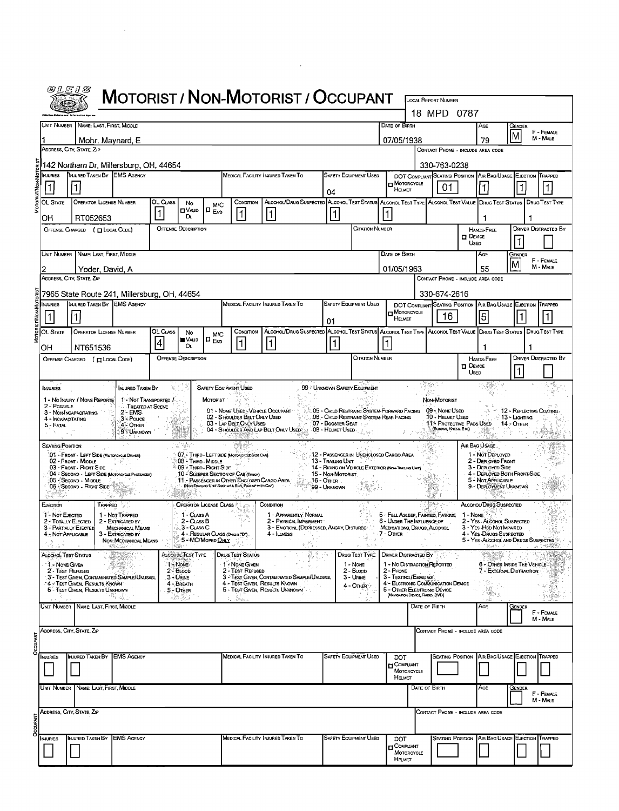|                            |                                                                                                    |                                                               |                       |                                                |                                                     |                                                                                                                                         | <b>MOTORIST / NON-MOTORIST / OCCUPANT</b>                                                                                              |                                                                                                                      |                                       |               |                                                                                                     | <b>LOCAL REPORT NUMBER</b>                                                        |                          |                                                                                                  |                               |                             |
|----------------------------|----------------------------------------------------------------------------------------------------|---------------------------------------------------------------|-----------------------|------------------------------------------------|-----------------------------------------------------|-----------------------------------------------------------------------------------------------------------------------------------------|----------------------------------------------------------------------------------------------------------------------------------------|----------------------------------------------------------------------------------------------------------------------|---------------------------------------|---------------|-----------------------------------------------------------------------------------------------------|-----------------------------------------------------------------------------------|--------------------------|--------------------------------------------------------------------------------------------------|-------------------------------|-----------------------------|
|                            |                                                                                                    |                                                               |                       |                                                |                                                     |                                                                                                                                         |                                                                                                                                        |                                                                                                                      |                                       |               |                                                                                                     | 18 MPD 0787                                                                       |                          |                                                                                                  |                               |                             |
|                            | UNIT NUMBER NAME: LAST, FIRST, MIDDLE                                                              |                                                               |                       |                                                |                                                     |                                                                                                                                         |                                                                                                                                        |                                                                                                                      |                                       | DATE OF BIRTH |                                                                                                     |                                                                                   |                          | AGE                                                                                              | GENDER<br>ΙM                  | F - FEMALE                  |
|                            | Mohr, Maynard, E<br>ADDRESS, CITY, STATE, ZIP                                                      |                                                               |                       |                                                |                                                     |                                                                                                                                         |                                                                                                                                        |                                                                                                                      |                                       |               | 07/05/1938                                                                                          | CONTACT PHONE - INCLUDE AREA CODE                                                 |                          | 79                                                                                               |                               | M - MALE                    |
|                            | 142 Northern Dr. Millersburg, OH, 44654                                                            |                                                               |                       |                                                |                                                     |                                                                                                                                         |                                                                                                                                        |                                                                                                                      |                                       |               |                                                                                                     | 330-763-0238                                                                      |                          |                                                                                                  |                               |                             |
| INJURIES<br>1              | INJURED TAKEN BY EMS AGENCY<br>$\mathbf 1$                                                         |                                                               |                       |                                                |                                                     |                                                                                                                                         | MEDICAL FACILITY INJURED TAKEN TO                                                                                                      | 04                                                                                                                   | SAFETY EQUIPMENT USED                 |               | DOT COMPLIANT SEATING POSITION AIR BAG USAGE EJECTION TRAPPED<br>MOTORCYCLE<br>НЕШЕТ                | 01                                                                                |                          |                                                                                                  | 1                             |                             |
| OL STATE<br>OH             | <b>OPERATOR LICENSE NUMBER</b><br>RT052653                                                         |                                                               | OL CLASS              | No<br>⊡V∧⊔D<br>D.                              | M/C<br>∣□ <sub>EvD</sub>                            | CONDITION<br>1                                                                                                                          | ALCOHOL/DRUG SUSPECTED ALCOHOL TEST STATUS ALCOHOL TEST TYPE ALCOHOL TEST VALUE DRUG TEST STATUS   DRUG TEST TYPE<br>$\vert$ 1 $\vert$ | 1                                                                                                                    |                                       |               |                                                                                                     |                                                                                   |                          | 1                                                                                                |                               |                             |
|                            | OFFENSE CHARGED ( [ LOCAL CODE)                                                                    |                                                               |                       | <b>OFFENSE DESCRIPTION</b>                     |                                                     |                                                                                                                                         |                                                                                                                                        |                                                                                                                      | Citation Number                       |               |                                                                                                     |                                                                                   | $\square$ Device         | HANDS-FREE                                                                                       |                               | <b>DRIVER DISTRACTED BY</b> |
|                            | UNIT NUMBER NAME: LAST, FIRST, MIDDLE                                                              |                                                               |                       |                                                |                                                     |                                                                                                                                         |                                                                                                                                        |                                                                                                                      |                                       | Date of Birth |                                                                                                     |                                                                                   | <b>UsED</b>              | AGE                                                                                              | GENDER                        |                             |
|                            | Yoder, David, A<br>ADDRESS, CITY, STATE, ZIP                                                       |                                                               |                       |                                                |                                                     |                                                                                                                                         |                                                                                                                                        |                                                                                                                      |                                       |               | 01/05/1963                                                                                          |                                                                                   |                          | 55                                                                                               |                               | F - FEMALE<br>M - MALE      |
|                            | 7965 State Route 241, Millersburg, OH, 44654                                                       |                                                               |                       |                                                |                                                     |                                                                                                                                         |                                                                                                                                        |                                                                                                                      |                                       |               |                                                                                                     | CONTACT PHONE - INCLUDE AREA CODE<br>330-674-2616                                 |                          |                                                                                                  |                               |                             |
| <b>NJURIES</b>             | INJURED TAKEN BY                                                                                   | <b>EMS AGENCY</b>                                             |                       |                                                |                                                     |                                                                                                                                         | MEDICAL FACILITY INJURED TAKEN TO                                                                                                      |                                                                                                                      | <b>SAFETY EQUIPMENT USED</b>          |               | <b>DOT COMPLIANT SEATING POSITION</b><br>MOTORCYCLE                                                 |                                                                                   |                          | AIR BAG USAGE EJECTION TRAPPED                                                                   |                               |                             |
| OL State                   | 1<br><b>OPERATOR LICENSE NUMBER</b>                                                                |                                                               | OL CLASS              |                                                |                                                     | CONDITION                                                                                                                               | ALCOHOL/DRUG SUSPECTED ALCOHOL TEST STATUS ALCOHOL TEST TYPE ALCOHOL TEST VALUE DRUG TEST STATUS DRUG TEST TYPE                        | 01                                                                                                                   |                                       |               | HELMET                                                                                              | 16                                                                                |                          | 5                                                                                                |                               |                             |
| OН                         | NT651536                                                                                           |                                                               | 4                     | No<br>WA⊔D<br>Dı.                              | <b>M/C</b><br> ¤ <sub>Ero</sub>                     | I1                                                                                                                                      | 1                                                                                                                                      | 1                                                                                                                    |                                       |               |                                                                                                     |                                                                                   |                          | 1                                                                                                |                               |                             |
|                            | OFFENSE CHARGED ( CLOCAL CODE)                                                                     |                                                               |                       | <b>OFFENSE DESCRIPTION</b>                     |                                                     |                                                                                                                                         |                                                                                                                                        |                                                                                                                      | CITATION NUMBER                       |               |                                                                                                     |                                                                                   | $\square$ Device<br>Useo | <b>HANDS-FREE</b>                                                                                |                               | <b>DRIVER DISTRACTED BY</b> |
| INJURIES                   |                                                                                                    | INJURED TAKEN BY                                              |                       |                                                |                                                     | <b>SAFETY EQUIPMENT USED</b>                                                                                                            |                                                                                                                                        | 99 - UNKNOWN SAFETY EQUIPMENT                                                                                        |                                       |               |                                                                                                     | ian l                                                                             |                          |                                                                                                  |                               |                             |
|                            | 1 - No INJURY / NOME REPORTE<br>2 - POSSIBLE                                                       | TREATED AT SCENE                                              | 1 - Not Transported / |                                                | Motorist                                            | 01 - NONE USED - VEHICLE OCCUPANT                                                                                                       |                                                                                                                                        |                                                                                                                      |                                       |               | 05 - CHILD RESTRAINT SYSTEM-FORWARD FACING 09 - NONE USED                                           | Non-Motorist                                                                      |                          |                                                                                                  | $-12$ - Reflective Coating.   |                             |
| 5 - Fatal                  | 3 - NON-INCAPACITATING<br>4 - INCAPACITATING                                                       | $2 - EMS$<br>3 - Pouce<br>4 - OTHER<br>9 - Unknown            |                       |                                                |                                                     | 02 - SHOULDER BELT ONLY USED<br>03 - LAP BELT ONLY USED                                                                                 | 04 - SHOULDER AND LAP BELT ONLY USED:                                                                                                  | 06 - CHILD RESTRAINT SYSTEM-REAR FACING<br>07 - Booster Seat († 18<br>$-08$ - Helmet Used $\mathcal{L}_{\text{max}}$ |                                       |               |                                                                                                     | 10 - HELMET USED<br>11 PROTECTIVE PADS USED<br>(ELBOWS, KNEES, ETC)               |                          |                                                                                                  | : 13 - Lia mixa<br>14 - Отнев |                             |
|                            | Seating Position                                                                                   |                                                               |                       |                                                |                                                     |                                                                                                                                         |                                                                                                                                        |                                                                                                                      |                                       |               |                                                                                                     |                                                                                   | AIR BAG USAGE.           |                                                                                                  |                               |                             |
|                            | 01 - FRONT - LEFT SIDE (MOTOROYCLE DRIVER)<br>02 - FRONT - MIDDLE<br>03 - FRONT - RIGHT SIDE       |                                                               |                       | 08 - THIRD - MIDOLE<br>09 - THIRD - RIGHT SIDE |                                                     | 07. THIRD - LEFT SIDE (MOTORCYCLE SIDE CAR)                                                                                             |                                                                                                                                        | 12 - Passenger in Unenclosed Cargo Area<br>13 - Trailing Unit<br>14 - RIDING ON VEHICLE EXTERIOR (NON-TRAILING UNIT) |                                       |               |                                                                                                     |                                                                                   |                          | 1 - NOT DEPLOYED<br>2 - DEPLOYED FRONT<br>3 - DEPLOYED SIDE                                      |                               |                             |
|                            | 04 - SECOND - LEFT SIDE (MOTORCYCLE PASSENGER)<br>05 - Second - Middle<br>06 - Secono - Richt Side |                                                               |                       |                                                |                                                     | 10 - SLEEPER SECTION OF CAB (TRICK)<br>11 - PASSENGER IN OTHER ENCLOSED CARGO AREA<br>(Note Transa Urat Such ASA Bus, Pick up with CAP) |                                                                                                                                        | 15 - Non-Motorist<br>.16 - Other<br>99 - Unknown                                                                     |                                       |               |                                                                                                     |                                                                                   |                          | 4 - DEPLOYED BOTH FRONT/SIDE<br>5 - NOT APPLICABLE<br>9 - DEPLOYMENT UNKNOWN                     |                               |                             |
| <b>EJECTION</b>            | TRAPPED                                                                                            |                                                               |                       | <b>OPERATOR LICENSE CLASS</b>                  |                                                     |                                                                                                                                         | CONDITION                                                                                                                              |                                                                                                                      |                                       |               |                                                                                                     |                                                                                   |                          | ALCOHOL/DRUG SUSPECTED                                                                           |                               |                             |
|                            | 1 <sup>2</sup> Not EJECTED<br>2 - TOTALLY EJECTED                                                  | 1 - Not Trapped<br>2 - EXTRICATED BY                          |                       | 1 - CLASS A<br>2 - Cuss B                      |                                                     |                                                                                                                                         | 1 - APPARENTLY NORMAL<br>2 - PHYSICAL IMPAIRMENT                                                                                       |                                                                                                                      |                                       |               | 5 - FELL ASLEEP, FAINTED, FATIGUE<br>6 - UNDER THE INFLUENCE OF                                     |                                                                                   | $1 - None$               | 2 - YES ALCOHOL SUSPECTED                                                                        |                               |                             |
| 14 an                      | 3 - PARTIALLY EJECTED<br>4 - NOT APPLICABLE                                                        | MECHANICAL MEANS<br>3 - EXTRICATED BY<br>NON-MECHANICAL MEANS |                       | 3 - Cuss C                                     | 4 - REGULAR CLASS (OHIGE TD").<br>5 - MC/MoPED ONLY |                                                                                                                                         | 3 - EMOTIONL (DEPRESSED, ANGRY, DISTURBE<br>4 - Illness<br>651                                                                         |                                                                                                                      | 人 家庭                                  | 7 - Other     | MEDICATIONS, DRUGS, ALCOHOL                                                                         | $\omega_{\rm{c}}$ , as<br>$\mathcal{P}_1$ , $\mathcal{P}_2$ , and $\mathcal{P}_2$ |                          | 3 - YES H8D NOTIMPARED<br>4 - YES - DRUGS SUSPECTED<br>5 - YES-ALCOHOL AND DRUGS<br>in abustis c |                               | SPECTED                     |
|                            | <b>ALCOHOL TEST STATUS</b>                                                                         |                                                               |                       | Sp. 1<br>ALCOHOL TEST TYPE                     |                                                     | DRUG TEST STATUS                                                                                                                        |                                                                                                                                        |                                                                                                                      |                                       |               | DRUG TEST TYPE: DRIVER DISTRACTED BY                                                                |                                                                                   |                          | - 164, 202                                                                                       |                               | $\mathbb{R}^{n \times n}$   |
|                            | <b>1.- NONE GIVEN</b><br>2 - Test Refused<br>3 - TEST GIVEN, CONTAMINATED SAMPLE/UNUSABL           |                                                               |                       | 1 - None<br>$2 - B$ LOOD<br>3 - URINE          |                                                     | 1 - NONE GIVEN<br>2 - Test Refused                                                                                                      | 3 - TEST GIVEN, CONTAMINATED SAMPLE/UNUSABL                                                                                            |                                                                                                                      | 1 - Nome<br>$2 - B$ LOOD<br>3 - Urine | 2 - PHONE     | 1 - No DISTRACTION REPORTED<br>3 - TEXTING/EMAILING                                                 |                                                                                   |                          | 6 - OTHER INSIDE THE VEHICLE<br>7 - EXTERNAL DISTRACTION                                         |                               |                             |
|                            | "4 - Test Given, Results Known<br>5 - TEST GIVEN, RESULTS UNKNOWN                                  |                                                               |                       | 4 - BREATH<br>5 - OTHER                        |                                                     |                                                                                                                                         | 4 - TEST GIVEN, RESULTS KNOWN<br>5 - TEST GIVEN, RESULTS UNKNOWN                                                                       |                                                                                                                      | 4 - Oniër                             |               | 4 - ELCTRONIC COMMUNICATION DEVICE<br>5 - OTHER ELECTRONIC DEVICE<br>(NAVGATION DEVICE, RADIO, DVD) |                                                                                   |                          | k                                                                                                |                               |                             |
|                            | UNIT NUMBER NAME: LAST FIRST MIDDLE                                                                |                                                               |                       |                                                |                                                     |                                                                                                                                         |                                                                                                                                        |                                                                                                                      |                                       |               | DATE OF BIRTH                                                                                       |                                                                                   |                          | AGE                                                                                              | GENDER                        | F - FEMALE<br>M - MALE      |
|                            | ADDRESS, CITY STATE, ZIP                                                                           |                                                               |                       |                                                |                                                     |                                                                                                                                         |                                                                                                                                        |                                                                                                                      |                                       |               |                                                                                                     | CONTACT PHONE - INCLUDE AREA CODE                                                 |                          |                                                                                                  |                               |                             |
| DCCUPANT<br>NJURIES        | INJURED TAKEN BY EMS AGENCY                                                                        |                                                               |                       |                                                |                                                     |                                                                                                                                         | MEDICAL FACILITY INJURED TAKEN TO                                                                                                      |                                                                                                                      | <b>SAFETY EQUIPMENT USED</b>          |               | DOT                                                                                                 |                                                                                   |                          | <b>SEATING POSITION AIR BAG USAGE EJECTION TRAPPED</b>                                           |                               |                             |
|                            |                                                                                                    |                                                               |                       |                                                |                                                     |                                                                                                                                         |                                                                                                                                        |                                                                                                                      |                                       |               | <b>COMPLIANT</b><br>MOTORCYCLE<br>HELMET                                                            |                                                                                   |                          |                                                                                                  |                               |                             |
|                            | Unit Number   Name: Last, First, Middle                                                            |                                                               |                       |                                                |                                                     |                                                                                                                                         |                                                                                                                                        |                                                                                                                      |                                       |               | DATE OF BIRTH                                                                                       |                                                                                   |                          | AGE                                                                                              | Gender                        | F - FEMALE<br>M - MALE      |
|                            | ADDRESS, CITY, STATE, ZIP                                                                          |                                                               |                       |                                                |                                                     |                                                                                                                                         |                                                                                                                                        |                                                                                                                      |                                       |               |                                                                                                     | CONTACT PHONE - INCLUDE AREA CODE                                                 |                          |                                                                                                  |                               |                             |
| DCCUPANT<br><b>NJURIES</b> | <b>INJURED TAKEN BY EMS AGENCY</b>                                                                 |                                                               |                       |                                                |                                                     |                                                                                                                                         | MEDICAL FACILITY INJURED TAKEN TO                                                                                                      |                                                                                                                      | <b>SAFETY EQUIPMENT USED</b>          |               | DOT                                                                                                 |                                                                                   |                          | SEATING POSITION AIR BAG USAGE EJECTION TRAPPED                                                  |                               |                             |
|                            |                                                                                                    |                                                               |                       |                                                |                                                     |                                                                                                                                         |                                                                                                                                        |                                                                                                                      |                                       |               | $\Box$ COMPLIANT<br>MOTORCYCLE<br>HELMET                                                            |                                                                                   |                          |                                                                                                  |                               |                             |

 $\mathcal{L}_{\text{max}}$  , and  $\mathcal{L}_{\text{max}}$ 

 $\mathcal{L}^{\text{max}}_{\text{max}}$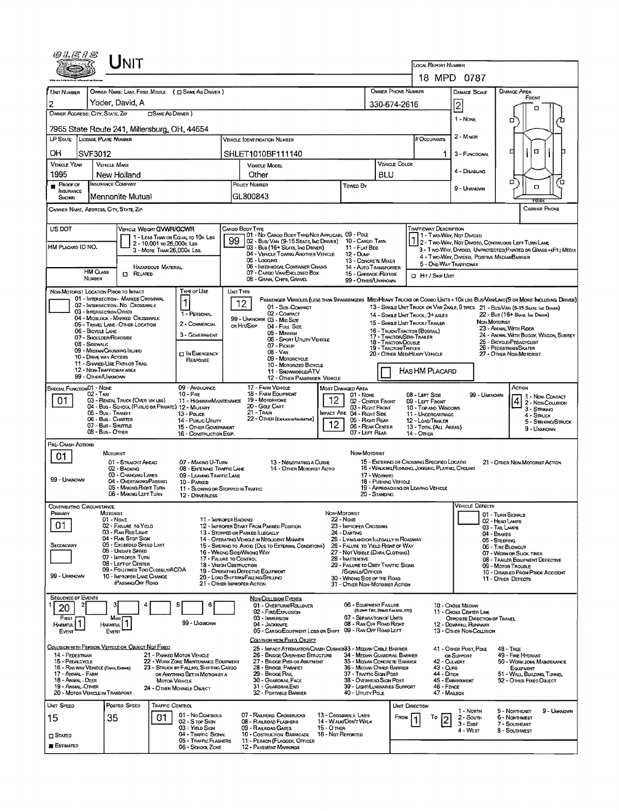|                                                                       |                                         | UNIT                                                                    |                                                         |                                                                                |                                |                                                                                                                                                                                                        |                   |                                                                                    |                                  |                                                                                                                         |                                             |                                                                        |                                                                                                                               |  |
|-----------------------------------------------------------------------|-----------------------------------------|-------------------------------------------------------------------------|---------------------------------------------------------|--------------------------------------------------------------------------------|--------------------------------|--------------------------------------------------------------------------------------------------------------------------------------------------------------------------------------------------------|-------------------|------------------------------------------------------------------------------------|----------------------------------|-------------------------------------------------------------------------------------------------------------------------|---------------------------------------------|------------------------------------------------------------------------|-------------------------------------------------------------------------------------------------------------------------------|--|
|                                                                       |                                         |                                                                         |                                                         |                                                                                |                                |                                                                                                                                                                                                        |                   |                                                                                    |                                  | <b>LOCAL REPORT NUMBER</b>                                                                                              |                                             |                                                                        |                                                                                                                               |  |
|                                                                       |                                         |                                                                         |                                                         |                                                                                |                                |                                                                                                                                                                                                        |                   |                                                                                    | OWNER PHONE NUMBER               |                                                                                                                         |                                             | 18 MPD 0787                                                            | <b>DAMAGE AREA</b>                                                                                                            |  |
| UNIT NUMBER<br>2                                                      |                                         | Yoder, David, A                                                         |                                                         | OWNER NAME: LAST, FIRST, MIDDLE ( C SAME AS DRIVER )                           |                                |                                                                                                                                                                                                        |                   |                                                                                    | 330-674-2616                     |                                                                                                                         |                                             | <b>DAMAGE SCALE</b>                                                    | FRONT                                                                                                                         |  |
| OWNER ADDRESS: CITY, STATE, ZIP<br><b>OSAME AS DRIVER</b> )           |                                         |                                                                         |                                                         |                                                                                |                                |                                                                                                                                                                                                        |                   |                                                                                    |                                  |                                                                                                                         |                                             | 2<br>1 - None                                                          | п                                                                                                                             |  |
|                                                                       |                                         | 7965 State Route 241, Millersburg, OH, 44654                            |                                                         |                                                                                |                                |                                                                                                                                                                                                        |                   |                                                                                    |                                  |                                                                                                                         |                                             |                                                                        | o                                                                                                                             |  |
| LP STATE LICENSE PLATE NUMBER<br>Vehicle (oentification Number        |                                         |                                                                         |                                                         |                                                                                |                                |                                                                                                                                                                                                        |                   |                                                                                    |                                  | # Occupants                                                                                                             |                                             | $2 - M1$ NOR                                                           |                                                                                                                               |  |
| OН                                                                    | SVF3012                                 |                                                                         |                                                         |                                                                                |                                | SHLET1010BF111140                                                                                                                                                                                      |                   |                                                                                    |                                  |                                                                                                                         |                                             | 3 - FUNCTIONAL                                                         | α<br>о                                                                                                                        |  |
| <b>VEHICLE YEAR</b><br>1995                                           |                                         | <b>VEHICLE MAKE</b><br>New Holland                                      |                                                         |                                                                                | VEHICLE MODEL<br>Other         |                                                                                                                                                                                                        |                   |                                                                                    | <b>VEHICLE COLOR</b><br>BLU      |                                                                                                                         |                                             | 4 - DISABLING                                                          |                                                                                                                               |  |
| <b>PROOF OF</b>                                                       |                                         | <b>INSURANCE COMPANY</b>                                                |                                                         |                                                                                | POUCY NUMBER<br>Towen By       |                                                                                                                                                                                                        |                   |                                                                                    |                                  |                                                                                                                         |                                             | 9 - Unknown                                                            | п<br>ά<br>α                                                                                                                   |  |
| INSURANCE<br>SHOWN                                                    |                                         | Mennonite Mutual                                                        |                                                         |                                                                                |                                | GL800843                                                                                                                                                                                               |                   |                                                                                    |                                  |                                                                                                                         |                                             |                                                                        |                                                                                                                               |  |
| CARRIER NAME, ADDRESS, CITY, STATE, ZIP                               |                                         |                                                                         |                                                         |                                                                                |                                |                                                                                                                                                                                                        |                   |                                                                                    |                                  |                                                                                                                         |                                             |                                                                        | <b>CARRIER PHONE</b>                                                                                                          |  |
| US DOT                                                                |                                         | VEHICLE WEIGHT GVWR/GCWR                                                |                                                         |                                                                                | Cargo Body Type                | 01 - No CARGO BODY TYPE/NOT APPLICABL 09 - POLE                                                                                                                                                        |                   |                                                                                    |                                  | TRAFFICWAY DESCRIPTION                                                                                                  |                                             | 11 - Two-Way, Not Divided                                              |                                                                                                                               |  |
| HM PLACARD ID NO.                                                     |                                         |                                                                         | 2 - 10,001 то 26,000х Las<br>3 - MORE THAN 26,000K LBS. | 1 - LESS THAN OR EQUAL TO 10K LBS                                              | 99                             | 02 - Bus/ Van (9-15 Seats, Inc Driver)<br>03 - Bus (16+ Seats, Inc Driver)                                                                                                                             |                   | 10 - Cargo Tank<br>11 - FLAT BED                                                   |                                  |                                                                                                                         |                                             |                                                                        | 2 - Two-Way, Not Divideo, Continuous Left Turn Lane<br>3 - Two-WAY, DIVIDED, UNPROTECTED(PAINTED OR GRASS >4FT.) MEDIA        |  |
|                                                                       |                                         |                                                                         |                                                         |                                                                                |                                | 04 - VEHICLE TOWING ANOTHER VEHICLE<br>05 - Logging                                                                                                                                                    |                   | 12 - Dump<br>13 - CONCRETE MIXER                                                   |                                  |                                                                                                                         |                                             | 4 - Two-Way, Divided, Positive MedianBarrier<br>5 - ONE-WAY TRAFFICWAY |                                                                                                                               |  |
|                                                                       | <b>HM CLASS</b><br>NUMBER               | $\Box$ Related                                                          | HAZARDOUS MATERIAL                                      |                                                                                |                                | 05 - INTERMODAL CONTAINER CHASIS<br>07 - CARGO VAN ENCLOSED BOX                                                                                                                                        |                   | 14 - Auto Transporter<br>15 - GARBAGE /REFUSE                                      |                                  | <b>D</b> Hit / Skip UNT                                                                                                 |                                             |                                                                        |                                                                                                                               |  |
| NON-MOTORIST LOCATION PRIOR TO IMPACT                                 |                                         |                                                                         |                                                         | <b>TYPE OF USE</b>                                                             | <b>UNIT TYPE</b>               | 08 - GRAIN, CHIPS, GRAVEL                                                                                                                                                                              |                   | 99 - Other/Unknown                                                                 |                                  |                                                                                                                         |                                             |                                                                        |                                                                                                                               |  |
|                                                                       |                                         | 01 - INTERSECTION - MARKED CROSSWAL<br>02 - INTERSECTION - NO CROSSWALK |                                                         | 1                                                                              | 12                             |                                                                                                                                                                                                        |                   |                                                                                    |                                  |                                                                                                                         |                                             |                                                                        | PASSENGER VEHICLES (LESS THAN 9 PASSENGERS MED/HEAVY TRUCKS OR COMBO UNITS > 10K LBS BUS/VAM/LIMO(9 OR MORE INCLUDING DRIVER) |  |
|                                                                       | 03 - INTERSECTION OTHER                 | 04 - MIDBLOCK - MARKED CROSSWALK                                        |                                                         | 1 - PERSONAL                                                                   |                                | 01 - Sub-Compact<br>02 - COMPACT<br>99 - UNKNOWN 03 - Min Size                                                                                                                                         |                   |                                                                                    |                                  | 14 - SINGLE UNIT TRUCK: 3+ AXLES                                                                                        |                                             |                                                                        | 13 - SINGLE UNIT TRUCK OR VAN 2AXLE, 6 TIRES 21 - BUS/VAN (9-15 SEATS, INC DRIVER)<br>$22 - Bus$ (16+ Seats, the Draver)      |  |
|                                                                       | 06 - BICYCLE LANE                       | 05 - Travel Lane - Other Location                                       |                                                         | 2 - COMMERCIAL                                                                 |                                | OR HIT/SKIP<br>04 - Fuu, Size<br>05 - Minivan                                                                                                                                                          |                   |                                                                                    |                                  | 15 - SINGLE UNIT TRUCK / TRAILER<br>16 - TRUCK/TRACTOR (BOBTAIL)                                                        |                                             | NON-MOTORIST                                                           | 23 - ANIMAL WITH RIDER                                                                                                        |  |
|                                                                       | 07 - Shoulder/Roadside<br>08 - Sidewalk |                                                                         |                                                         | 3 - GOVERNMENT                                                                 |                                | 06 - Sport Unuty Vehicle<br>07 - Pickup                                                                                                                                                                |                   |                                                                                    | 18 - TRACTOR/DOUBLE              | 24 - ANIMAL WITH BUGGY, WAGON, SURREY<br>17 - TRACTOR/SEMI-TRAILER<br>25 - BICYCLE/PEDACYCUST<br>26 - PEDESTRIAN/SKATER |                                             |                                                                        |                                                                                                                               |  |
|                                                                       | 10 - DRIVE WAY ACCESS                   | 09 - MEDIAN/CROSSING ISLAND                                             |                                                         | <b>IT IN EMERGENCY</b><br>RESPONSE                                             |                                | $08 - VAN$<br>09 - MOTORCYCLE                                                                                                                                                                          |                   |                                                                                    | 19 - TRACTOR/TRIPLES             | 20 - OTHER MEDIHEAVY VEHICLE<br>27 - Other Non-Motorist                                                                 |                                             |                                                                        |                                                                                                                               |  |
|                                                                       |                                         | 11 - SHARED-USE PATH OR TRAIL<br>12 - NON-TRAFFICWAY AREA               |                                                         |                                                                                |                                | 10 - Motorized Bicycle<br>11 - SNOVMOBILE/ATV                                                                                                                                                          |                   |                                                                                    |                                  | HASHM PLACARD                                                                                                           |                                             |                                                                        |                                                                                                                               |  |
| <b>SPECIAL FUNCTIONO1 - NONE</b>                                      | 99 - OTHER/UNKNOWN                      |                                                                         |                                                         | 09 - AMBULANCE                                                                 |                                | 12 - OTHER PASSENGER VEHICLE<br>17 - FARM VEHICLE                                                                                                                                                      |                   | <b>MOST DAMAGED AREA</b>                                                           |                                  |                                                                                                                         |                                             |                                                                        | Астом                                                                                                                         |  |
| 01                                                                    | 02 - Тал                                | 03 - RENTAL TRUCK (OVER 10K LBS)                                        |                                                         | $10 -$ FIRE<br>11 - HIGHWAY/MAINTENANCE                                        |                                | 18 - FARM EQUIPMENT<br>19 - Мотопноме                                                                                                                                                                  | 12                | $01 - None$<br>02 - CENTER FRONT                                                   |                                  | 08 - LEFT SIDE<br>09 - LEFT FRONT                                                                                       |                                             | 99 - UNKNOWN                                                           | 1 - Non-Contact<br>4 2 - Non-Coursion                                                                                         |  |
|                                                                       | 05 - Bus - Transit                      | 04 - BUS - SCHOOL (PUBLIC OR PRIVATE) 12 - MILITARY                     |                                                         | 13 - Pouce                                                                     |                                | 20 - Gouf Cart<br>21 - Train                                                                                                                                                                           |                   | 03 - RIGHT FRONT<br><b>IMPACT ARE 04 - RIGHT SIDE</b>                              |                                  | 10 - Top and Windows<br>11 - UNDERCARRIAGE                                                                              |                                             |                                                                        | 3 - STRIKING<br>4 - STRUCK                                                                                                    |  |
|                                                                       | 07 - Bus - SHUTTLE<br>08 - Bus Other    | 06 - Bus - CHARTER                                                      |                                                         | 14 - Public UTIUTY<br>15 - Other Government                                    |                                | 22 - OTHER (EXPLAN IN NASPATIVE)                                                                                                                                                                       | 12                | 05 - Right REAR<br>06 - REAR CENTER<br>07 - LEFT REAR                              |                                  | 12 - LOAD/TRAILER<br>13 - TOTAL (ALL AREAS)                                                                             |                                             |                                                                        | 5 - STRIKING/STRUCK<br>9 - UNXNOWN                                                                                            |  |
| PRE-CRASH ACTIONS                                                     |                                         |                                                                         |                                                         | 16 - CONSTRUCTION EQIP.                                                        |                                |                                                                                                                                                                                                        |                   |                                                                                    |                                  | <b>14 - OTHER</b>                                                                                                       |                                             |                                                                        |                                                                                                                               |  |
| 01                                                                    |                                         | MOTORIST                                                                |                                                         | 07 - MAKING U-TURN                                                             |                                |                                                                                                                                                                                                        |                   | Non-Motorist                                                                       |                                  |                                                                                                                         |                                             |                                                                        |                                                                                                                               |  |
|                                                                       |                                         | 01 - STRAIGHT AHEAD<br>02 - BACKING<br>03 - CHANGING LANES              |                                                         | 08 - ENTERING TRAFFIC LANE<br>09 - LEAVING TRAFFIC LANE                        |                                | 13 - Negotiating a Curve<br>14 - OTHER MOTORIST ACTIO                                                                                                                                                  |                   |                                                                                    | 17 - WORKING                     | 15 - EMTERING OR CROSSING SPECIFIED LOCATIO<br>16 - WALKING RUNNING, JOGGING, PLAYING, CYCLING                          |                                             |                                                                        | 21 - OTHER NON-MOTORIST ACTION                                                                                                |  |
| 99 - UNKNOWN                                                          |                                         | 04 - OVERTAKING/PASSING<br>05 - MAKING RIGHT TURN                       |                                                         | 10 - PARKED<br>11 - Slowing on Stopped in Traffic                              | 18 - Pushing Vehicle           |                                                                                                                                                                                                        |                   |                                                                                    |                                  | 19 - APPROACHING OR LEAVING VEHICLE                                                                                     |                                             |                                                                        |                                                                                                                               |  |
|                                                                       |                                         | 06 - MAKING LEFT TURN                                                   |                                                         | 12 - DRIVERLESS                                                                |                                |                                                                                                                                                                                                        |                   |                                                                                    | 20 - STANDING                    |                                                                                                                         |                                             |                                                                        |                                                                                                                               |  |
| JONTRIBUTING CIRCUMSTANCE<br>PRIMARY                                  |                                         | MOTORIST                                                                |                                                         |                                                                                |                                |                                                                                                                                                                                                        | Non-Motorist      |                                                                                    |                                  |                                                                                                                         |                                             | <b>VEHICLE DEFECTS</b>                                                 | 01 - TURN SIGNALS                                                                                                             |  |
| 01                                                                    |                                         | $01 - None$<br>02 - FAILURE TO YIELD                                    |                                                         |                                                                                | 11 - IMPROPER BACKING          | 12 - IMPROPER START FROM PARKED POSITION                                                                                                                                                               |                   | $22 - None$<br>23 - IMPROPER CROSSING                                              |                                  |                                                                                                                         |                                             |                                                                        | 02 - HEAD LAMPS<br>03 - TAIL LAMPS                                                                                            |  |
| SECONDARY                                                             |                                         | 03 - RAN RED LIGHT<br>04 - RAN STOP SIGN<br>05 - Exceeded Speed Limit   |                                                         |                                                                                |                                | 13 - Stopped or Parked LLEGALLY<br>14 - OPERATING VEHICLE IN NEGLIGENT MANNER                                                                                                                          |                   | 24 - DARTING<br>25 - LYING ANDJOR LLEGALLY IN ROADWAY                              |                                  |                                                                                                                         |                                             |                                                                        | 04 - BRAKES<br>05 - STEERING                                                                                                  |  |
|                                                                       |                                         | 06 - UNSAFE SPEED<br>07 - IMPROPER TURN                                 |                                                         |                                                                                |                                | 15 - Swering to Avoid (Due to External Conditions)<br>26 - FALURE TO YIELD RIGHT OF WAY<br>16 - WRONG SIDE/WRONG WAY<br>27 - Not Visible (Dark Clothing)<br>17 - FALURE TO CONTROL<br>28 - INATTENTIVE |                   |                                                                                    |                                  |                                                                                                                         |                                             |                                                                        | 06 - TIRE BLOWOUT<br>07 - WORN OR SLICK TIRES<br>08 - TRAILER EQUIPMENT DEFECTIVE                                             |  |
|                                                                       |                                         | 08 - LEFT OF CENTER<br>09 - Followed Too CloselwACDA                    |                                                         |                                                                                | <b>18 - VISION OBSTRUCTION</b> | 19 - OPERATING DEFECTIVE EQUIPMENT                                                                                                                                                                     |                   | 29 - FALURE TO OBEY TRAFFIC SIGNS<br>/SIGNALS/OFFICER                              |                                  |                                                                                                                         |                                             |                                                                        | 09 - MOTOR TROUBLE<br>10 - DISABLED FROM PRIOR ACCIDENT                                                                       |  |
| 99 - UNKNOWN                                                          |                                         | 10 - IMPROPER LANE CHANGE<br>PASSING OFF ROAD                           |                                                         |                                                                                | 21 - OTHER IMPROPER ACTION     | 20 - LOAD SHIFTING/FALLING/SPILLING                                                                                                                                                                    |                   | 30 - WRONG SIDE OF THE ROAD<br>31 - OTHER NON-MOTORIST ACTION                      |                                  |                                                                                                                         |                                             |                                                                        | 11 - OTHER DEFECTS                                                                                                            |  |
| <b>SEQUENCE OF EVENTS</b>                                             |                                         |                                                                         |                                                         |                                                                                |                                | <b>NON-COLLISION EVENTS</b>                                                                                                                                                                            |                   |                                                                                    |                                  |                                                                                                                         |                                             |                                                                        |                                                                                                                               |  |
| $\mathbf{z}$<br>20                                                    |                                         |                                                                         |                                                         | Ε<br>6                                                                         |                                | 01 - OVERTURN/ROLLOVER<br>02 - FIRE/EXPLOSION                                                                                                                                                          |                   | 06 - EQUIPMENT FAILURE                                                             | (BLOWN TIRE, BRAKE FAILURE, ETC) |                                                                                                                         |                                             | 10 - Cross Median<br>11 - Cross Center Line                            |                                                                                                                               |  |
| FIRST<br>HARMFUL <sup>1</sup>                                         |                                         | Most<br>HARMFUL <sup>1</sup>                                            |                                                         | 99 UNXNOWN                                                                     |                                | 03 - IMMERSION<br>04 - Jackknife                                                                                                                                                                       |                   | 07 - SEPARATION OF UNITS<br>08 - RAN OFF ROAD RIGHT<br>09 - RAN OFF ROAD LEFT      |                                  |                                                                                                                         |                                             | OPPOSITE DIRECTION OF TRAVEL<br>12 - DOWMHILL RUNAWAY                  |                                                                                                                               |  |
| EVENT                                                                 |                                         | Event                                                                   |                                                         |                                                                                |                                | 05 - CARGO/EQUIPMENT LOSS OR SHIFT<br>COLLISION WITH FIXED, OBJECT                                                                                                                                     |                   |                                                                                    |                                  |                                                                                                                         |                                             | 13 - OTHER NON-COLLISION                                               |                                                                                                                               |  |
| COLLISION WITH PERSON, VEHICLE OR OBJECT NOT FIXED<br>14 - PEDESTRIAN |                                         |                                                                         |                                                         | 21 - PARKED MOTOR VEHICLE                                                      |                                | 25 - IMPACT ATTENUATOR/CRASH CUSHION33 - MEDIAN CABLE BARRIER<br>26 - BRIDGE OVERHEAD STRUCTURE                                                                                                        |                   | 34 - Median Guardrail Barrier                                                      |                                  |                                                                                                                         |                                             | 41 - OTHER POST, POLE<br>OR SUPPORT                                    | 48 - TREE<br>49 - FIRE HYDRANT                                                                                                |  |
| 15 - PEDALCYCLE<br>16 - RAILWAY VEHICLE (TANN, ENGINE)                |                                         |                                                                         |                                                         | 22 - WORK ZONE MAINTENANCE EQUIPMENT<br>23 - STRUCK BY FALLING, SHIFTING CARGO |                                | 27 - BRIDGE PIER OR ABUTMENT<br>28 - Bridge Parapet                                                                                                                                                    |                   | 35 - MEDIAN CONCRETE BARRIER<br>36 - MEOIAN OTHER BARRIER                          |                                  |                                                                                                                         | 42 - Qulvert<br>43 - CURB                   |                                                                        | 50 - WORK ZONE MAINTENANCE<br>EQUIPMENT                                                                                       |  |
| 17 - ANIMAL - FARM<br>18 - Animal - Deer<br>19 - ANIMAL-OTHER         |                                         |                                                                         | MOTOR VEHICLE                                           | OR ANYTHING SET IN MOTION BY A                                                 |                                | 29 - BRIDGE RAIL<br>30 - GUARDRAIL FACE<br>31 - GUARDRAILEND                                                                                                                                           |                   | 37 - TRAFFIC SIGN POST<br>38 - OVERHEAD SIGN POST<br>39 - LIGHT/LUMINARIES SUPPORT |                                  |                                                                                                                         | 44 - Олтон<br>45 - EMBANKMENT<br>46 - FENCE |                                                                        | 51 - WALL BUILDING, TUNNEL<br>52 - OTHER FIXEO OBJECT                                                                         |  |
| 20 - MOTOR VEHICLE IN TRANSPORT                                       |                                         |                                                                         |                                                         | 24 - O'THER MOVABLE OBJECT                                                     |                                | 32 - PORTABLE BARRIER                                                                                                                                                                                  |                   | 40 - Unury Pole                                                                    |                                  |                                                                                                                         | 47 - MAILBOX                                |                                                                        |                                                                                                                               |  |
| UNIT SPEED                                                            |                                         | Posted Speed                                                            | <b>TRAFFIC CONTROL</b>                                  | 01 - No CONTROLS                                                               |                                | 07 - RAILROAD CROSSBUCKS                                                                                                                                                                               |                   | 13 - Crosswalk Lines                                                               |                                  | UNIT DIRECTION                                                                                                          |                                             | 1 - North                                                              | 9 - UMKNOWN<br>5 - Northeast                                                                                                  |  |
| 15                                                                    |                                         | 35                                                                      | 01                                                      | 02 - S rop Sign<br>03 - Yield Sign                                             |                                | 08 - RAILROAD FLASHERS<br>09 - RAILROAD GATES                                                                                                                                                          | 15 - Отнев        | 14 - WALK/DON'T WALK                                                               |                                  | FROM<br>To                                                                                                              |                                             | 2 - South<br>3 - East                                                  | 6 - Northwest<br>7 - SOUTHEAST                                                                                                |  |
| $\square$ Stated                                                      |                                         |                                                                         |                                                         | 04 - TRAFFIC SIGNAL<br>05 - TRAFFIC FLASHERS                                   |                                | 10 - COSTRUCTION BARRICADE<br>11 - PERSON (FLAGGER, OFFICER                                                                                                                                            | 16 - Not REPORTED |                                                                                    |                                  |                                                                                                                         |                                             | 4 - West                                                               | 8 - Southwest                                                                                                                 |  |
| <b>E</b> stimated                                                     |                                         |                                                                         |                                                         | 06 - SCHOOL ZONE                                                               |                                | 12 - PAVEMENT MARKINGS                                                                                                                                                                                 |                   |                                                                                    |                                  |                                                                                                                         |                                             |                                                                        |                                                                                                                               |  |